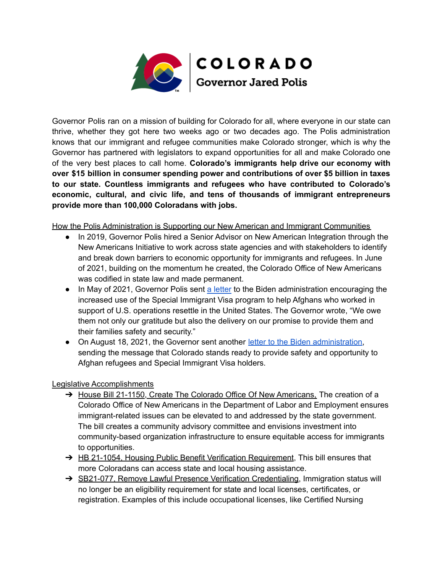

Governor Polis ran on a mission of building for Colorado for all, where everyone in our state can thrive, whether they got here two weeks ago or two decades ago. The Polis administration knows that our immigrant and refugee communities make Colorado stronger, which is why the Governor has partnered with legislators to expand opportunities for all and make Colorado one of the very best places to call home. **Colorado's immigrants help drive our economy with over \$15 billion in consumer spending power and contributions of over \$5 billion in taxes to our state. Countless immigrants and refugees who have contributed to Colorado's economic, cultural, and civic life, and tens of thousands of immigrant entrepreneurs provide more than 100,000 Coloradans with jobs.**

How the Polis Administration is Supporting our New American and Immigrant Communities

- In 2019, Governor Polis hired a Senior Advisor on New American Integration through the New Americans Initiative to work across state agencies and with stakeholders to identify and break down barriers to economic opportunity for immigrants and refugees. In June of 2021, building on the momentum he created, the Colorado Office of New Americans was codified in state law and made permanent.
- In May of 2021, Governor Polis sent a [letter](https://drive.google.com/file/d/1XwYsfVoQETsDBNexRfojtTTBfmDwE_ZD/view) to the Biden administration encouraging the increased use of the Special Immigrant Visa program to help Afghans who worked in support of U.S. operations resettle in the United States. The Governor wrote, "We owe them not only our gratitude but also the delivery on our promise to provide them and their families safety and security."
- On August 18, 2021, the Governor sent another letter to the Biden [administration,](https://drive.google.com/file/d/16eXa1N_8nklZV-mVE4_b5b-NKWpYyOVH/view) sending the message that Colorado stands ready to provide safety and opportunity to Afghan refugees and Special Immigrant Visa holders.

## Legislative Accomplishments

- → House Bill 21-1150, Create The Colorado Office Of New Americans, The creation of a Colorado Office of New Americans in the Department of Labor and Employment ensures immigrant-related issues can be elevated to and addressed by the state government. The bill creates a community advisory committee and envisions investment into community-based organization infrastructure to ensure equitable access for immigrants to opportunities.
- → HB 21-1054, Housing Public Benefit Verification Requirement, This bill ensures that more Coloradans can access state and local housing assistance.
- → SB21-077, Remove Lawful Presence Verification Credentialing, Immigration status will no longer be an eligibility requirement for state and local licenses, certificates, or registration. Examples of this include occupational licenses, like Certified Nursing